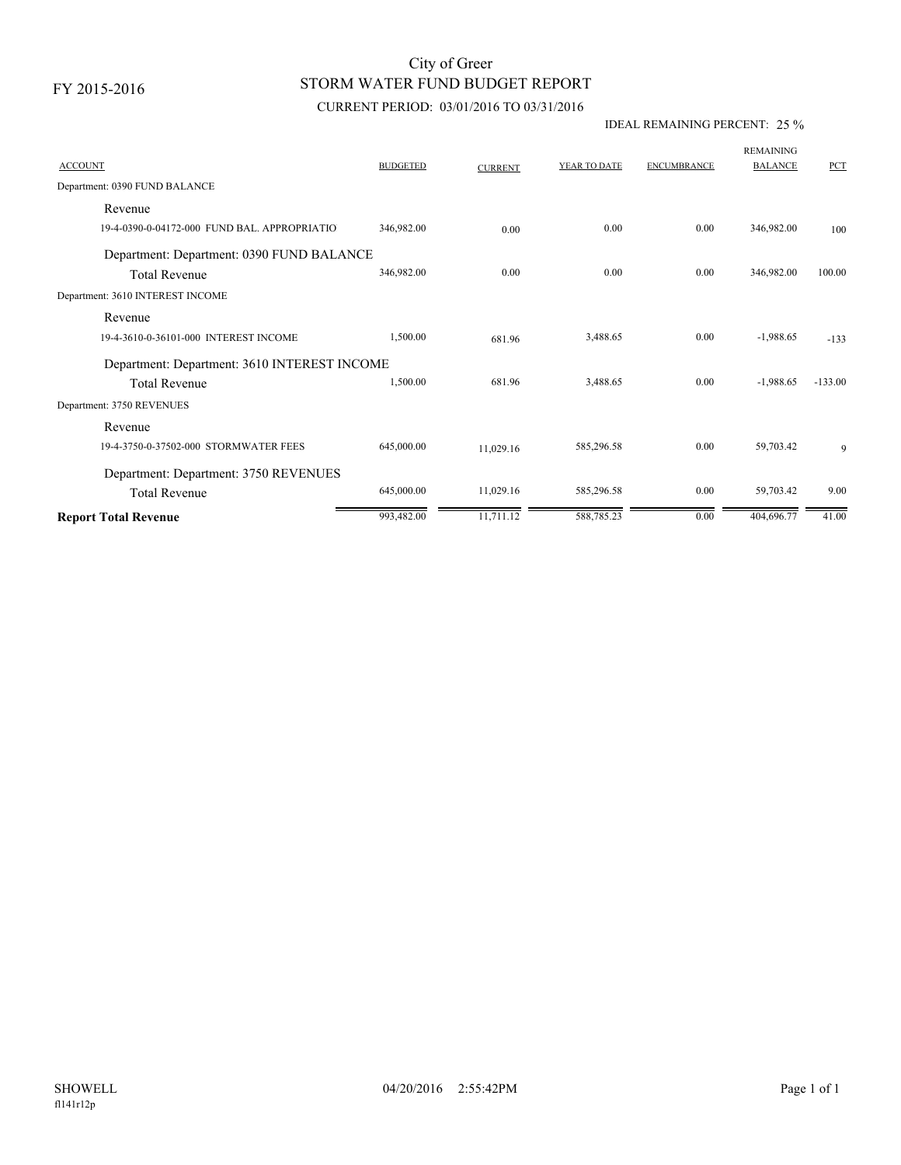# STORM WATER FUND BUDGET REPORT City of Greer

## CURRENT PERIOD: 03/01/2016 TO 03/31/2016

### IDEAL REMAINING PERCENT: 25 %

| <b>ACCOUNT</b>                               | <b>BUDGETED</b> | <b>CURRENT</b> | YEAR TO DATE | <b>ENCUMBRANCE</b> | <b>REMAINING</b><br><b>BALANCE</b> | PCT       |
|----------------------------------------------|-----------------|----------------|--------------|--------------------|------------------------------------|-----------|
| Department: 0390 FUND BALANCE                |                 |                |              |                    |                                    |           |
| Revenue                                      |                 |                |              |                    |                                    |           |
| 19-4-0390-0-04172-000 FUND BAL, APPROPRIATIO | 346,982.00      | 0.00           | 0.00         | 0.00               | 346,982.00                         | 100       |
| Department: Department: 0390 FUND BALANCE    |                 |                |              |                    |                                    |           |
| <b>Total Revenue</b>                         | 346,982.00      | 0.00           | 0.00         | 0.00               | 346,982.00                         | 100.00    |
| Department: 3610 INTEREST INCOME             |                 |                |              |                    |                                    |           |
| Revenue                                      |                 |                |              |                    |                                    |           |
| 19-4-3610-0-36101-000 INTEREST INCOME        | 1,500.00        | 681.96         | 3,488.65     | 0.00               | $-1,988.65$                        | $-133$    |
| Department: Department: 3610 INTEREST INCOME |                 |                |              |                    |                                    |           |
| <b>Total Revenue</b>                         | 1,500.00        | 681.96         | 3,488.65     | 0.00               | $-1,988.65$                        | $-133.00$ |
| Department: 3750 REVENUES                    |                 |                |              |                    |                                    |           |
| Revenue                                      |                 |                |              |                    |                                    |           |
| 19-4-3750-0-37502-000 STORMWATER FEES        | 645,000.00      | 11,029.16      | 585,296.58   | 0.00               | 59,703.42                          | 9         |
| Department: Department: 3750 REVENUES        |                 |                |              |                    |                                    |           |
| <b>Total Revenue</b>                         | 645,000.00      | 11,029.16      | 585,296.58   | 0.00               | 59,703.42                          | 9.00      |
| <b>Report Total Revenue</b>                  | 993,482.00      | 11,711.12      | 588,785.23   | 0.00               | 404,696.77                         | 41.00     |